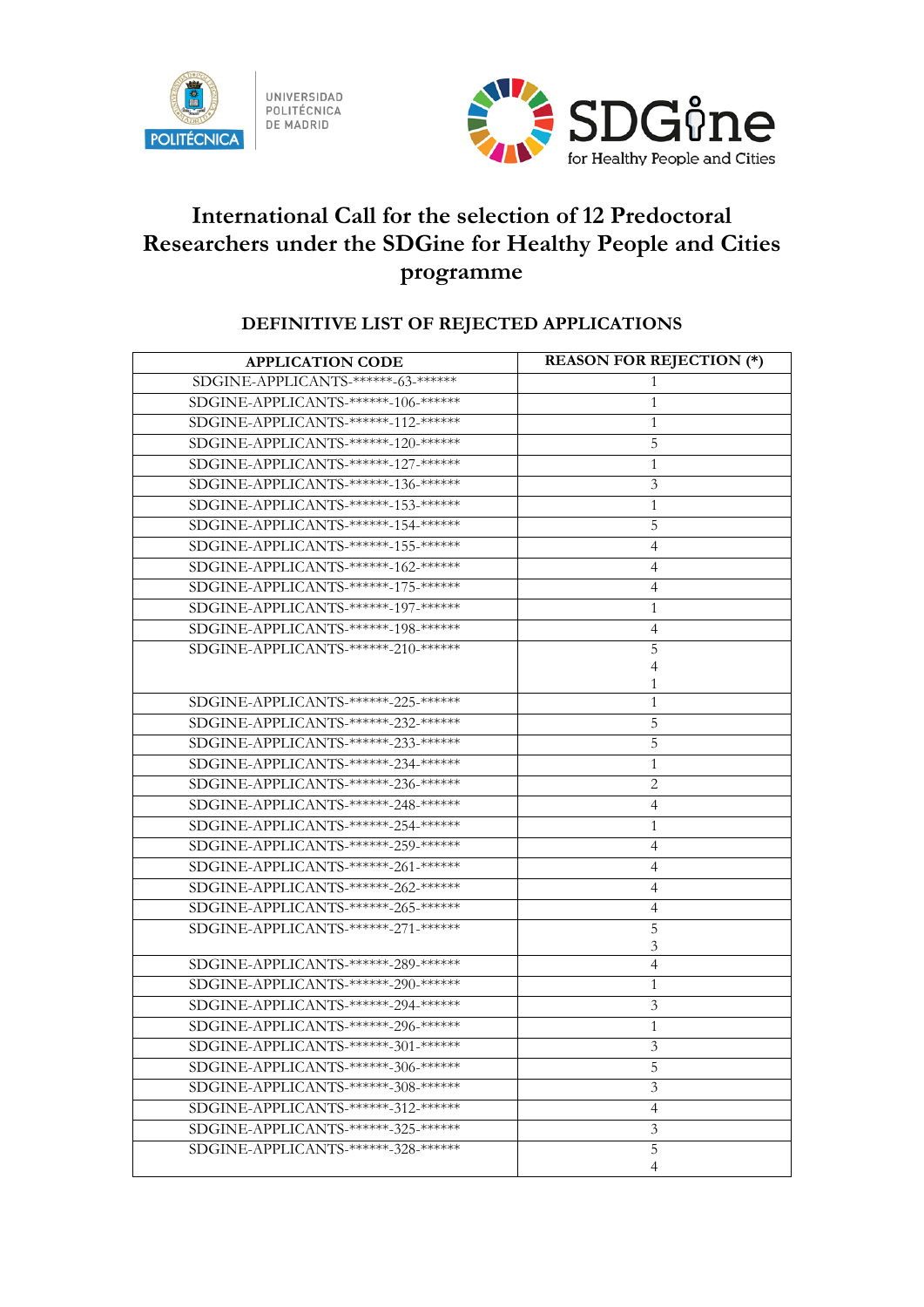



## **International Call for the selection of 12 Predoctoral Researchers under the SDGine for Healthy People and Cities programme**

## **DEFINITIVE LIST OF REJECTED APPLICATIONS**

| <b>APPLICATION CODE</b>              | <b>REASON FOR REJECTION (*)</b> |
|--------------------------------------|---------------------------------|
| SDGINE-APPLICANTS-******-63-******   | 1                               |
| SDGINE-APPLICANTS-******-106-******  | 1                               |
| SDGINE-APPLICANTS-******-112-******* | 1                               |
| SDGINE-APPLICANTS-******-120-******* | 5                               |
| SDGINE-APPLICANTS-******-127-******* | 1                               |
| SDGINE-APPLICANTS-******-136-******* | 3                               |
| SDGINE-APPLICANTS-******-153-******* | 1                               |
| SDGINE-APPLICANTS-******-154-******  | 5                               |
| SDGINE-APPLICANTS-******-155-******* | 4                               |
| SDGINE-APPLICANTS-******-162-******  | 4                               |
| SDGINE-APPLICANTS-******-175-******* | $\overline{4}$                  |
| SDGINE-APPLICANTS-******-197-******* | 1                               |
| SDGINE-APPLICANTS-******-198-******  | 4                               |
| SDGINE-APPLICANTS-******-210-******  | 5                               |
|                                      | 4                               |
|                                      |                                 |
| SDGINE-APPLICANTS-******-225-******* | 1                               |
| SDGINE-APPLICANTS-******-232-******  | 5                               |
| SDGINE-APPLICANTS-******-233-******  | 5                               |
| SDGINE-APPLICANTS-******-234-******* | 1                               |
| SDGINE-APPLICANTS-******-236-******* | 2                               |
| SDGINE-APPLICANTS-******-248-******  | 4                               |
| SDGINE-APPLICANTS-******-254-******* | 1                               |
| SDGINE-APPLICANTS-******-259-******* | 4                               |
| SDGINE-APPLICANTS-******-261-******* | 4                               |
| SDGINE-APPLICANTS-******-262-******  | 4                               |
| SDGINE-APPLICANTS-******-265-******* | 4                               |
| SDGINE-APPLICANTS-******-271-******  | 5                               |
|                                      | 3                               |
| SDGINE-APPLICANTS-******-289-******  | 4                               |
| SDGINE-APPLICANTS-******-290-******* | 1                               |
| SDGINE-APPLICANTS-******-294-******  | 3                               |
| SDGINE-APPLICANTS-******-296-******* | 1                               |
| SDGINE-APPLICANTS-******-301-******* | 3                               |
| SDGINE-APPLICANTS-******-306-******* | 5                               |
| SDGINE-APPLICANTS-******-308-******  | 3                               |
| SDGINE-APPLICANTS-******-312-******* | $\overline{4}$                  |
| SDGINE-APPLICANTS-******-325-******* | 3                               |
| SDGINE-APPLICANTS-******-328-******  | 5                               |
|                                      | 4                               |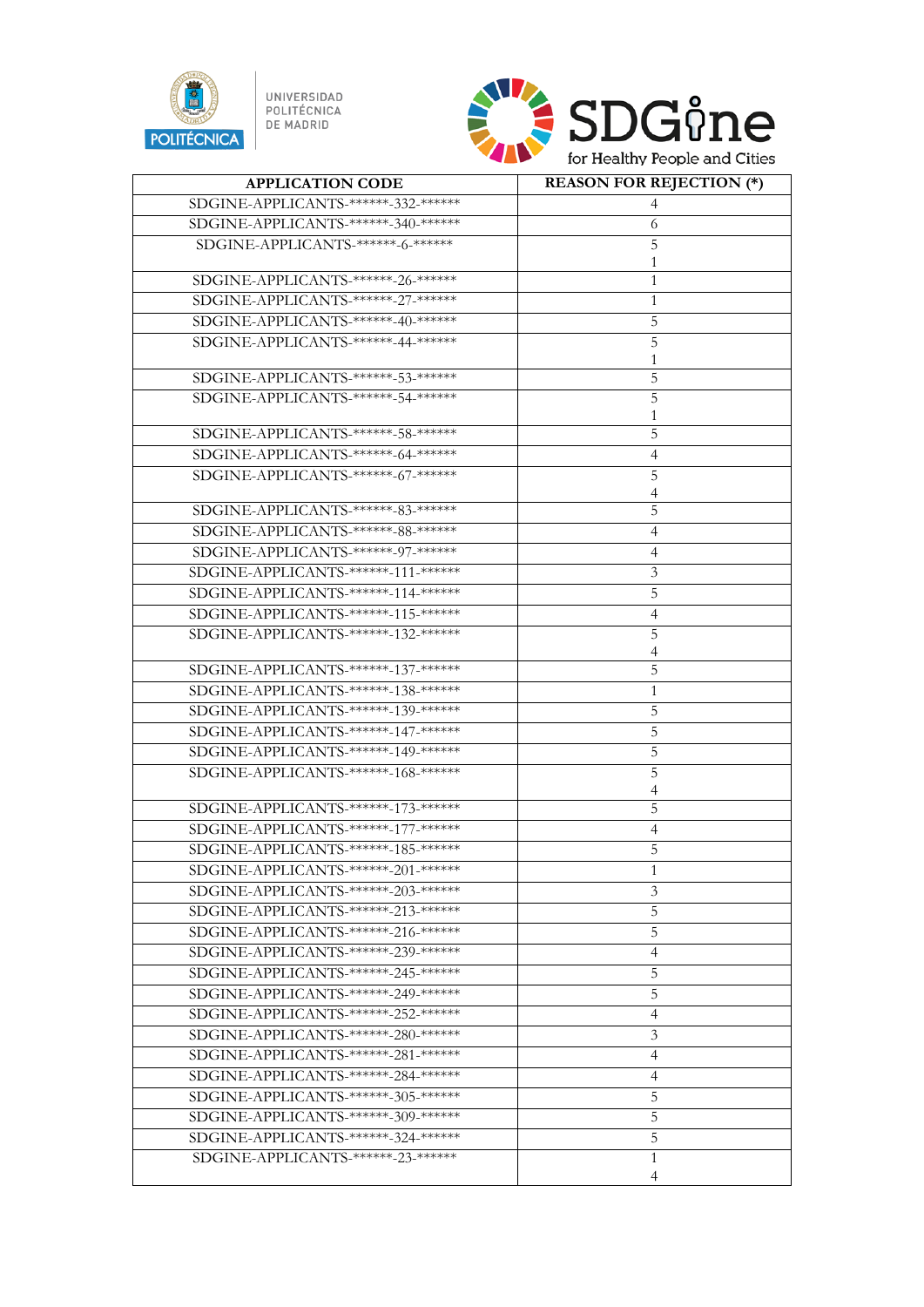

UNIVERSIDAD<br>POLITÉCNICA<br>DE MADRID



| <b>APPLICATION CODE</b>              | <b>REASON FOR REJECTION (*)</b> |
|--------------------------------------|---------------------------------|
| SDGINE-APPLICANTS-******-332-******  |                                 |
| SDGINE-APPLICANTS-******-340-******* | 6                               |
| SDGINE-APPLICANTS-******-6-******    | 5                               |
|                                      |                                 |
| SDGINE-APPLICANTS-******-26-******   | 1                               |
| SDGINE-APPLICANTS-******-27-*******  | 1                               |
| SDGINE-APPLICANTS-******-40-******   | 5                               |
| SDGINE-APPLICANTS-******-44-******   | 5                               |
|                                      |                                 |
| SDGINE-APPLICANTS-******-53-*******  | 5                               |
| SDGINE-APPLICANTS-******-54-*******  | 5                               |
|                                      |                                 |
| SDGINE-APPLICANTS-******-58-******   | 5                               |
| SDGINE-APPLICANTS-******-64-******   | 4                               |
| SDGINE-APPLICANTS-******-67-*******  | 5                               |
|                                      | 4                               |
| SDGINE-APPLICANTS-******-83-*******  | 5                               |
| SDGINE-APPLICANTS-******-88-******   | $\overline{4}$                  |
| SDGINE-APPLICANTS-******-97-*******  | $\overline{4}$                  |
| SDGINE-APPLICANTS-******-111-******  | 3                               |
| SDGINE-APPLICANTS-******-114-******* | 5                               |
| SDGINE-APPLICANTS-******-115-******  | 4                               |
| SDGINE-APPLICANTS-******-132-******  | 5                               |
|                                      |                                 |
| SDGINE-APPLICANTS-******-137-******* | 5                               |
| SDGINE-APPLICANTS-******-138-******  | 1                               |
| SDGINE-APPLICANTS-******-139-******* | 5                               |
| SDGINE-APPLICANTS-******-147-******  | 5                               |
| SDGINE-APPLICANTS-******-149-******  | 5                               |
| SDGINE-APPLICANTS-******-168-******* | 5                               |
|                                      | 4                               |
| SDGINE-APPLICANTS-******-173-******* | 5                               |
| SDGINE-APPLICANTS-******-177-******  | $\overline{4}$                  |
| SDGINE-APPLICANTS-******-185-******* | 5                               |
| SDGINE-APPLICANTS-******-201-******* |                                 |
| SDGINE-APPLICANTS-******-203-******  | 3                               |
| SDGINE-APPLICANTS-******-213-******* | 5                               |
| SDGINE-APPLICANTS-******-216-******  | 5                               |
| SDGINE-APPLICANTS-******-239-******* |                                 |
|                                      | $\overline{4}$                  |
| SDGINE-APPLICANTS-******-245-******  | 5                               |
| SDGINE-APPLICANTS-******-249-******  | 5                               |
| SDGINE-APPLICANTS-******-252-******  | 4                               |
| SDGINE-APPLICANTS-******-280-******  | 3                               |
| SDGINE-APPLICANTS-******-281-******* | 4                               |
| SDGINE-APPLICANTS-******-284-******  | 4                               |
| SDGINE-APPLICANTS-******-305-******* | 5                               |
| SDGINE-APPLICANTS-******-309-******* | 5                               |
| SDGINE-APPLICANTS-******-324-******* | 5                               |
| SDGINE-APPLICANTS-******-23-*******  | 1                               |
|                                      | 4                               |